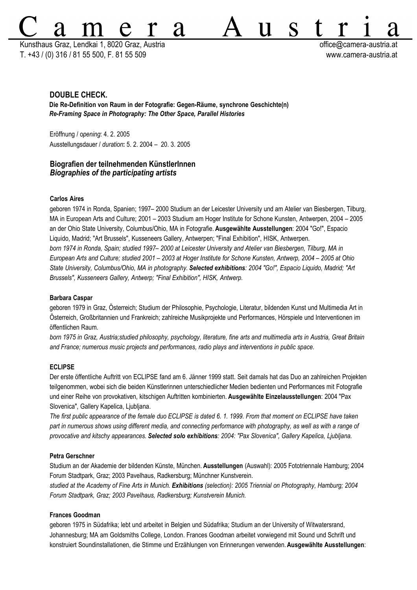Kunsthaus Graz, Lendkai 1, 8020 Graz, Austria **office austria office austria** at control office austria.at T. +43 / (0) 316 / 81 55 500, F. 81 55 509 www.camera-austria.at

S

11

# **DOUBLE CHECK.**

**Die Re-Definition von Raum in der Fotografie: Gegen-Räume, synchrone Geschichte(n)** *Re-Framing Space in Photography: The Other Space, Parallel Histories*

2d

Eröffnung / o*pening*: 4. 2. 2005 Ausstellungsdauer / *duration***:** 5. 2. 2004 – 20. 3. 2005

# **Biografien der teilnehmenden KünstlerInnen** *Biographies of the participating artists*

## **Carlos Aires**

geboren 1974 in Ronda, Spanien; 1997– 2000 Studium an der Leicester University und am Atelier van Biesbergen, Tilburg, MA in European Arts and Culture; 2001 – 2003 Studium am Hoger Institute for Schone Kunsten, Antwerpen, 2004 – 2005 an der Ohio State University, Columbus/Ohio, MA in Fotografie. **Ausgewählte Ausstellungen**: 2004 "Go!", Espacio Liquido, Madrid; "Art Brussels", Kusseneers Gallery, Antwerpen; "Final Exhibition", HISK, Antwerpen. *born 1974 in Ronda, Spain; studied 1997– 2000 at Leicester University and Atelier van Biesbergen, Tilburg, MA in* European Arts and Culture; studied 2001 - 2003 at Hoger Institute for Schone Kunsten, Antwerp, 2004 - 2005 at Ohio *State University, Columbus/Ohio, MA in photography. Selected exhibitions: 2004 "Go!", Espacio Liquido, Madrid; "Art Brussels", Kusseneers Gallery, Antwerp; "Final Exhibition", HISK, Antwerp.*

#### **Barbara Caspar**

geboren 1979 in Graz, Österreich; Studium der Philosophie, Psychologie, Literatur, bildenden Kunst und Multimedia Art in Österreich, Großbritannien und Frankreich; zahlreiche Musikprojekte und Performances, Hörspiele und Interventionen im öffentlichen Raum.

*born 1975 in Graz, Austria;studied philosophy, psychology, literature, fine arts and multimedia arts in Austria, Great Britain and France; numerous music projects and performances, radio plays and interventions in public space.*

## **ECLIPSE**

Der erste öffentliche Auftritt von ECLIPSE fand am 6. Jänner 1999 statt. Seit damals hat das Duo an zahlreichen Projekten teilgenommen, wobei sich die beiden Künstlerinnen unterschiedlicher Medien bedienten und Performances mit Fotografie und einer Reihe von provokativen, kitschigen Auftritten kombinierten. **Ausgewählte Einzelausstellungen**: 2004 "Pax Slovenica", Gallery Kapelica, Ljubljana.

*The first public appearance of the female duo ECLIPSE is dated 6. 1. 1999. From that moment on ECLIPSE have taken part in numerous shows using different media, and connecting performance with photography, as well as with a range of provocative and kitschy appearances. Selected solo exhibitions: 2004: "Pax Slovenica", Gallery Kapelica, Ljubljana.*

### **Petra Gerschner**

Studium an der Akademie der bildenden Künste, München. **Ausstellungen** (Auswahl): 2005 Fototriennale Hamburg; 2004 Forum Stadtpark, Graz; 2003 Pavelhaus, Radkersburg; Münchner Kunstverein.

*studied at the Academy of Fine Arts in Munich. Exhibitions (selection): 2005 Triennial on Photography, Hamburg; 2004 Forum Stadtpark, Graz; 2003 Pavelhaus, Radkersburg; Kunstverein Munich.*

#### **Frances Goodman**

geboren 1975 in Südafrika; lebt und arbeitet in Belgien und Südafrika; Studium an der University of Witwatersrand, Johannesburg; MA am Goldsmiths College, London. Frances Goodman arbeitet vorwiegend mit Sound und Schrift und konstruiert Soundinstallationen, die Stimme und Erzählungen von Erinnerungen verwenden.**Ausgewählte Ausstellungen**: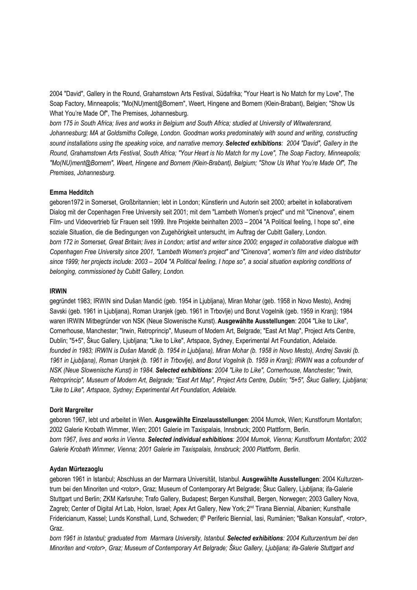2004 "David", Gallery in the Round, Grahamstown Arts Festival, Südafrika; "Your Heart is No Match for my Love", The Soap Factory, Minneapolis; "Mo(NU)ment@Bornem", Weert, Hingene and Bornem (Klein-Brabant), Belgien; "Show Us What You're Made Of", The Premises, Johannesburg.

*born 175 in South Africa; lives and works in Belgium and South Africa; studied at University of Witwatersrand, Johannesburg; MA at Goldsmiths College, London. Goodman works predominately with sound and writing, constructing sound installations using the speaking voice, and narrative memory. Selected exhibitions: 2004 "David", Gallery in the Round, Grahamstown Arts Festival, South Africa; "Your Heart is No Match for my Love", The Soap Factory, Minneapolis; "Mo(NU)ment@Bornem", Weert, Hingene and Bornem (Klein-Brabant), Belgium; "Show Us What You're Made Of", The Premises, Johannesburg.*

## **Emma Hedditch**

geboren1972 in Somerset, Großbritannien; lebt in London; Künstlerin und Autorin seit 2000; arbeitet in kollaborativem Dialog mit der Copenhagen Free University seit 2001; mit dem "Lambeth Women's project" und mit "Cinenova", einem Film- und Videovertrieb für Frauen seit 1999. Ihre Projekte beinhalten 2003 – 2004 "A Political feeling, I hope so", eine soziale Situation, die die Bedingungen von Zugehörigkeit untersucht, im Auftrag der Cubitt Gallery, London. born 172 in Somerset, Great Britain; lives in London; artist and writer since 2000; engaged in collaborative dialogue with *Copenhagen Free University since 2001, "Lambeth Women's project" and "Cinenova", women's film and video distributor since 1999; her projects include: 2003 – 2004 "A Political feeling, I hope so", a social situation exploring conditions of belonging, commissioned by Cubitt Gallery, London.*

## **IRWIN**

gegründet 1983; IRWIN sind Dušan Mandić (geb. 1954 in Ljubljana), Miran Mohar (geb. 1958 in Novo Mesto), Andrej Savski (geb. 1961 in Ljubljana), Roman Uranjek (geb. 1961 in Trbovlje) und Borut Vogelnik (geb. 1959 in Kranj); 1984 waren IRWIN Mitbegründer von NSK (Neue Slowenische Kunst). **Ausgewählte Ausstellungen**: 2004 "Like to Like", Cornerhouse, Manchester; "Irwin, Retroprincip", Museum of Modern Art, Belgrade; "East Art Map", Project Arts Centre, Dublin; "5+5", Škuc Gallery, Ljubljana; "Like to Like", Artspace, Sydney, Experimental Art Foundation, Adelaide. *founded in 1983; IRWIN is Dušan Mandi*ć *(b. 1954 in Ljubljana), Miran Mohar (b. 1958 in Novo Mesto), Andrej Savski (b.* 1961 in Ljubljana), Roman Uranjek (b. 1961 in Trbovlje), and Borut Vogelnik (b. 1959 in Kranj); IRWIN was a cofounder of *NSK (Neue Slowenische Kunst) in 1984. Selected exhibitions: 2004 "Like to Like", Cornerhouse, Manchester; "Irwin, Retroprincip", Museum of Modern Art, Belgrade; "East Art Map", Project Arts Centre, Dublin; "5+5", Škuc Gallery, Ljubljana; "Like to Like", Artspace, Sydney; Experimental Art Foundation, Adelaide.*

### **Dorit Margreiter**

geboren 1967, lebt und arbeitet in Wien. **Ausgewählte Einzelausstellungen**: 2004 Mumok, Wien; Kunstforum Montafon; 2002 Galerie Krobath Wimmer, Wien; 2001 Galerie im Taxispalais, Innsbruck; 2000 Plattform, Berlin. *born 1967, lives and works in Vienna. Selected individual exhibitions: 2004 Mumok, Vienna; Kunstforum Montafon; 2002 Galerie Krobath Wimmer, Vienna; 2001 Galerie im Taxispalais, Innsbruck; 2000 Plattform, Berlin.*

#### **Aydan Mürtezaoglu**

geboren 1961 in Istanbul; Abschluss an der Marmara Universität, Istanbul. **Ausgewählte Ausstellungen**: 2004 Kulturzentrum bei den Minoriten und <rotor>, Graz; Museum of Contemporary Art Belgrade; Škuc Gallery, Ljubljana; ifa-Galerie Stuttgart und Berlin; ZKM Karlsruhe; Trafo Gallery, Budapest; Bergen Kunsthall, Bergen, Norwegen; 2003 Gallery Nova, Zagreb; Center of Digital Art Lab, Holon, Israel; Apex Art Gallery, New York; 2<sup>nd</sup> Tirana Biennial, Albanien; Kunsthalle Fridericianum, Kassel; Lunds Konsthall, Lund, Schweden; 6<sup>th</sup> Periferic Biennial, Iasi, Rumänien; "Balkan Konsulat", <rotor>, Graz.

*born 1961 in Istanbul; graduated from Marmara University, Istanbul. Selected exhibitions: 2004 Kulturzentrum bei den Minoriten and <rotor>, Graz; Museum of Contemporary Art Belgrade; Škuc Gallery, Ljubljana; ifa-Galerie Stuttgart and*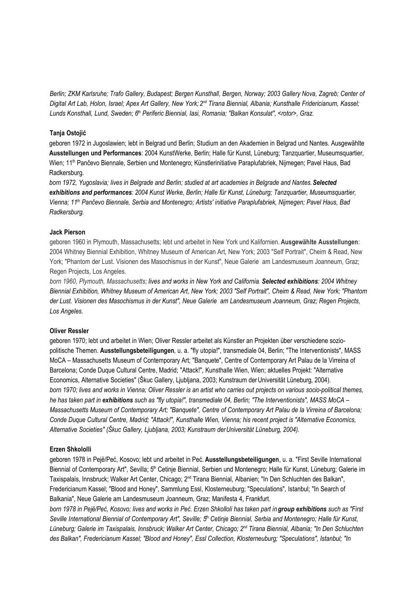*Berlin; ZKM Karlsruhe; Trafo Gallery, Budapest; Bergen Kunsthall, Bergen, Norway; 2003 Gallery Nova, Zagreb; Center of* Digital Art Lab, Holon, Israel; Apex Art Gallery, New York; 2<sup>nd</sup> Tirana Biennial, Albania; Kunsthalle Fridericianum, Kassel; *Lunds Konsthall, Lund, Sweden; 6 th Periferic Biennial, Iasi, Romania; "Balkan Konsulat", <rotor>, Graz.*

## **Tanja Ostojić**

geboren 1972 in Jugoslawien; lebt in Belgrad und Berlin; Studium an den Akademien in Belgrad und Nantes. Ausgewählte **Ausstellungen und Performances**: 2004 KunstWerke, Berlin; Halle für Kunst, Lüneburg; Tanzquartier, Museumsquartier, Wien; 11<sup>th</sup> Pančevo Biennale, Serbien und Montenegro; Künstlerinitiative Paraplufabriek, Nijmegen; Pavel Haus, Bad Radkersburg.

*born 1972, Yugoslavia; lives in Belgrade and Berlin; studied at art academies in Belgrade and Nantes.Selected exhibitions and performances: 2004 Kunst Werke, Berlin; Halle für Kunst, Lüneburg; Tanzquartier, Museumsquartier, Vienna; 11th Pančevo Biennale, Serbia and Montenegro; Artists' initiative Paraplufabriek, Nijmegen; Pavel Haus, Bad Radkersburg.*

## **Jack Pierson**

geboren 1960 in Plymouth, Massachusetts; lebt und arbeitet in New York und Kalifornien. **Ausgewählte Ausstellungen**: 2004 Whitney Biennial Exhibition, Whitney Museum of American Art, New York; 2003 "Self Portrait", Cheim & Read, New York; "Phantom der Lust. Visionen des Masochismus in der Kunst", Neue Galerie am Landesmuseum Joanneum, Graz; Regen Projects, Los Angeles.

*born 1960, Plymouth, Massachusetts; lives and works in New York and California. Selected exhibitions: 2004 Whitney Biennial Exhibition, Whitney Museum of American Art, New York; 2003 "Self Portrait", Cheim & Read, New York; "Phantom der Lust. Visionen des Masochismus in der Kunst", Neue Galerie am Landesmuseum Joanneum, Graz; Regen Projects, Los Angeles.*

## **Oliver Ressler**

geboren 1970; lebt und arbeitet in Wien; Oliver Ressler arbeitet als Künstler an Projekten über verschiedene soziopolitische Themen. **Ausstellungsbeteiligungen**, u. a. "fly utopia!", transmediale 04, Berlin; "The Interventionists", MASS MoCA – Massachusetts Museum of Contemporary Art; "Banquete", Centre of Contemporary Art Palau de la Virreina of Barcelona; Conde Duque Cultural Centre, Madrid; "Attack!", Kunsthalle Wien, Wien; aktuelles Projekt: "Alternative Economics, Alternative Societies" (Škuc Gallery, Ljubljana, 2003; Kunstraum derUniversität Lüneburg, 2004). *born 1970; lives and works in Vienna; Oliver Ressler is an artist who carries out projects on various socio-political themes,* he has taken part in exhibitions such as "fly utopia!", transmediale 04, Berlin; "The Interventionists", MASS MoCA -*Massachusetts Museum of Contemporary Art; "Banquete", Centre of Contemporary Art Palau de la Virreina of Barcelona; Conde Duque Cultural Centre, Madrid; "Attack!", Kunsthalle Wien, Vienna; his recent project is "Alternative Economics, Alternative Societies" (Škuc Gallery, Ljubljana, 2003; Kunstraum derUniversität Lüneburg, 2004).*

## **Erzen Shkololli**

geboren 1978 in Pejë/Peć, Kosovo; lebt und arbeitet in Peć. **Ausstellungsbeteiligungen**, u. a. "First Seville International Biennial of Contemporary Art", Sevilla; 5<sup>th</sup> Cetinje Biennial, Serbien und Montenegro; Halle für Kunst, Lüneburg; Galerie im Taxispalais, Innsbruck; Walker Art Center, Chicago; 2<sup>nd</sup> Tirana Biennial, Albanien; "In Den Schluchten des Balkan", Fredericianum Kassel; "Blood and Honey", Sammlung Essl, Klosterneuburg; "Speculations", Istanbul; "In Search of Balkania", Neue Galerie am Landesmuseum Joanneum, Graz; Manifesta 4, Frankfurt.

born 1978 in Pejë/Peć, Kosovo; lives and works in Peć. Erzen Shkolloli has taken part in group exhibitions such as "First *Seville International Biennial of Contemporary Art", Seville; 5 th Cetinje Biennial, Serbia and Montenegro; Halle für Kunst, Lüneburg; Galerie im Taxispalais, Innsbruck; Walker Art Center, Chicago; 2 nd Tirana Biennial, Albania; "In Den Schluchten des Balkan", Fredericianum Kassel; "Blood and Honey", Essl Collection, Klosterneuburg; "Speculations", Istanbul; "In*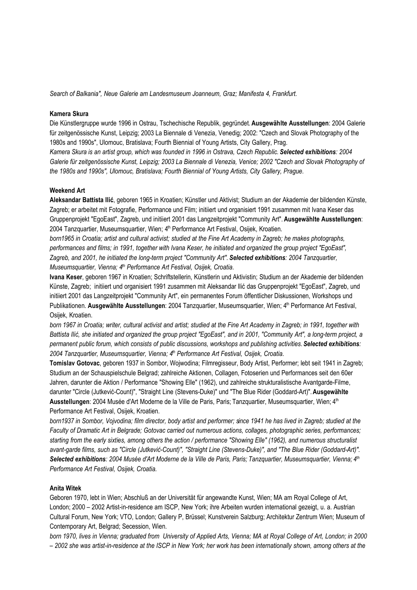*Search of Balkania", Neue Galerie am Landesmuseum Joanneum, Graz; Manifesta 4, Frankfurt.*

### **Kamera Skura**

Die Künstlergruppe wurde 1996 in Ostrau, Tschechische Republik, gegründet. **Ausgewählte Ausstellungen**: 2004 Galerie für zeitgenössische Kunst, Leipzig; 2003 La Biennale di Venezia, Venedig; 2002: "Czech and Slovak Photography of the 1980s and 1990s", Ulomouc, Bratislava; Fourth Biennial of Young Artists, City Gallery, Prag.

*Kamera Skura is an artist group, which was founded in 1996 in Ostrava, Czech Republic. Selected exhibitions: 2004 Galerie für zeitgenössische Kunst, Leipzig; 2003 La Biennale di Venezia, Venice; 2002 "Czech and Slovak Photography of the 1980s and 1990s", Ulomouc, Bratislava; Fourth Biennial of Young Artists, City Gallery, Prague.*

## **Weekend Art**

**Aleksandar Battista Ilić**, geboren 1965 in Kroatien; Künstler und Aktivist; Studium an der Akademie der bildenden Künste, Zagreb; er arbeitet mit Fotografie, Performance und Film; initiiert und organisiert 1991 zusammen mit Ivana Keser das Gruppenprojekt "EgoEast", Zagreb, und initiiert 2001 das Langzeitprojekt "Community Art". **Ausgewählte Ausstellungen**: 2004 Tanzquartier, Museumsquartier, Wien; 4<sup>th</sup> Performance Art Festival, Osijek, Kroatien.

*born1965 in Croatia; artist and cultural activist; studied at the Fine Art Academy in Zagreb; he makes photographs, performances and films; in 1991, together with Ivana Keser, he initiated and organized the group project "EgoEast", Zagreb, and 2001, he initiated the long-term project "Community Art". Selected exhibitions: 2004 Tanzquartier, Museumsquartier, Vienna; 4 th Performance Art Festival, Osijek, Croatia.*

**Ivana Keser**, geboren 1967 in Kroatien; Schriftstellerin, Künstlerin und Aktivistin; Studium an der Akademie der bildenden Künste, Zagreb; initiiert und organisiert 1991 zusammen mit Aleksandar Ilić das Gruppenprojekt "EgoEast", Zagreb, und initiiert 2001 das Langzeitprojekt "Community Art", ein permanentes Forum öffentlicher Diskussionen, Workshops und Publikationen. **Ausgewählte Ausstellungen**: 2004 Tanzquartier, Museumsquartier, Wien; 4 th Performance Art Festival, Osijek, Kroatien.

born 1967 in Croatia; writer, cultural activist and artist; studied at the Fine Art Academy in Zagreb; in 1991, together with Battista Ilić, she initiated and organized the group project "EgoEast", and in 2001, "Community Art", a long-term project, a *permanent public forum, which consists of public discussions, workshops and publishing activities.Selected exhibitions: 2004 Tanzquartier, Museumsquartier, Vienna; 4 th Performance Art Festival, Osijek, Croatia.*

**Tomislav Gotovac**, geboren 1937 in Sombor, Wojwodina; Filmregisseur, Body Artist, Performer; lebt seit 1941 in Zagreb; Studium an der Schauspielschule Belgrad; zahlreiche Aktionen, Collagen, Fotoserien und Performances seit den 60er Jahren, darunter die Aktion / Performance "Showing Elle" (1962), und zahlreiche strukturalistische Avantgarde-Filme, darunter "Circle (Jutkević-Count)", "Straight Line (Stevens-Duke)" und "The Blue Rider (Goddard-Art)".**Ausgewählte Ausstellungen**: 2004 Musée d'Art Moderne de la Ville de Paris, Paris; Tanzquartier, Museumsquartier, Wien; 4<sup>th</sup> Performance Art Festival, Osijek, Kroatien.

born1937 in Sombor, Vojvodina; film director, body artist and performer; since 1941 he has lived in Zagreb; studied at the *Faculty of Dramatic Art in Belgrade; Gotovac carried out numerous actions, collages, photographic series, performances; starting from the early sixties, among others the action / performance "Showing Elle" (1962), and numerous structuralist avant-garde films, such as "Circle (Jutkević-Count)", "Straight Line (Stevens-Duke)", and "The Blue Rider (Goddard-Art)".* Selected exhibitions: 2004 Musée d'Art Moderne de la Ville de Paris, Paris; Tanzquartier, Museumsquartier, Vienna; 4<sup>th</sup> *Performance Art Festival, Osijek, Croatia.*

### **Anita Witek**

Geboren 1970, lebt in Wien; Abschluß an der Universität für angewandte Kunst, Wien; MA am Royal College of Art, London; 2000 – 2002 Artist-in-residence am ISCP, New York; ihre Arbeiten wurden international gezeigt, u. a. Austrian Cultural Forum, New York; VTO, London; Gallery P, Brüssel; Kunstverein Salzburg; Architektur Zentrum Wien; Museum of Contemporary Art, Belgrad; Secession, Wien.

born 1970, lives in Vienna; graduated from University of Applied Arts, Vienna; MA at Royal College of Art, London; in 2000 - 2002 she was artist-in-residence at the ISCP in New York; her work has been internationally shown, among others at the